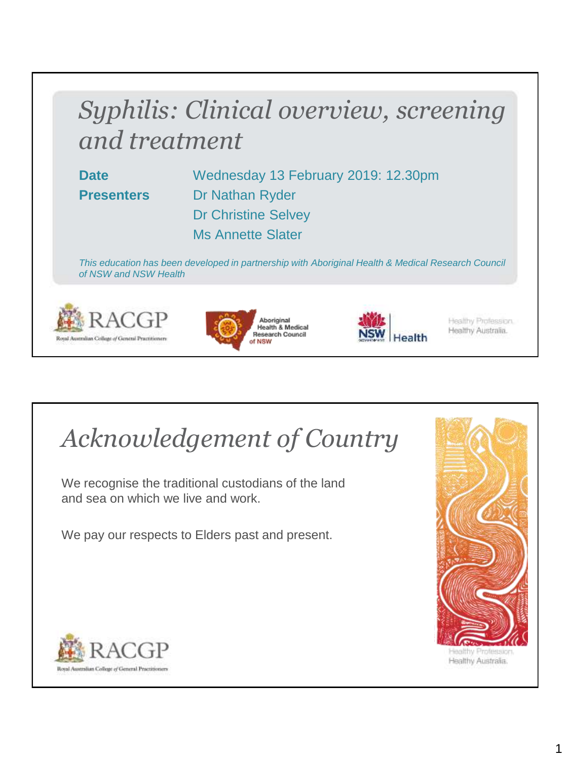# *Syphilis: Clinical overview, screening and treatment*

**Date** Wednesday 13 February 2019: 12.30pm **Presenters** Dr Nathan Ryder Dr Christine Selvey Ms Annette Slater

*This education has been developed in partnership with Aboriginal Health & Medical Research Council of NSW and NSW Health*







Healthy Profession. Healthy Australia.

# *Acknowledgement of Country*

We recognise the traditional custodians of the land and sea on which we live and work.

We pay our respects to Elders past and present.



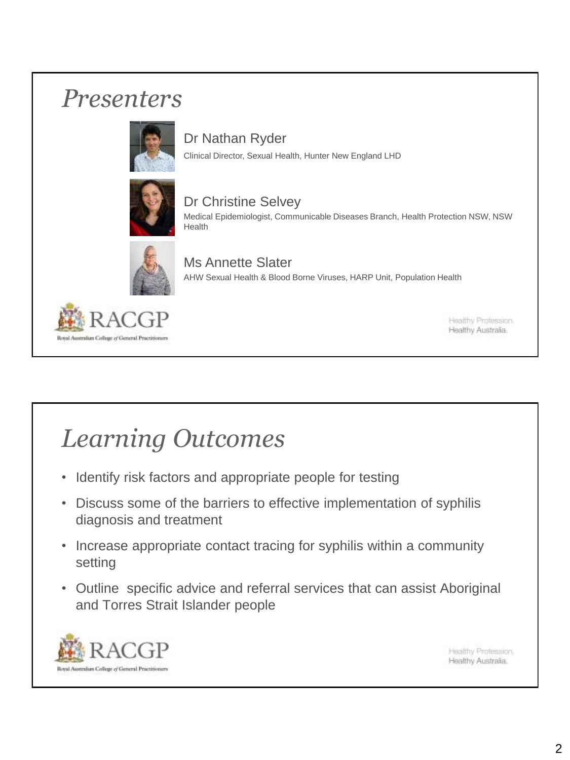### *Presenters*



#### Dr Nathan Ryder

Clinical Director, Sexual Health, Hunter New England LHD



#### Dr Christine Selvey Medical Epidemiologist, Communicable Diseases Branch, Health Protection NSW, NSW Health



#### Ms Annette Slater AHW Sexual Health & Blood Borne Viruses, HARP Unit, Population Health



Healthy Profession. Healthy Australia.

# *Learning Outcomes*

- Identify risk factors and appropriate people for testing
- Discuss some of the barriers to effective implementation of syphilis diagnosis and treatment
- Increase appropriate contact tracing for syphilis within a community setting
- Outline specific advice and referral services that can assist Aboriginal and Torres Strait Islander people

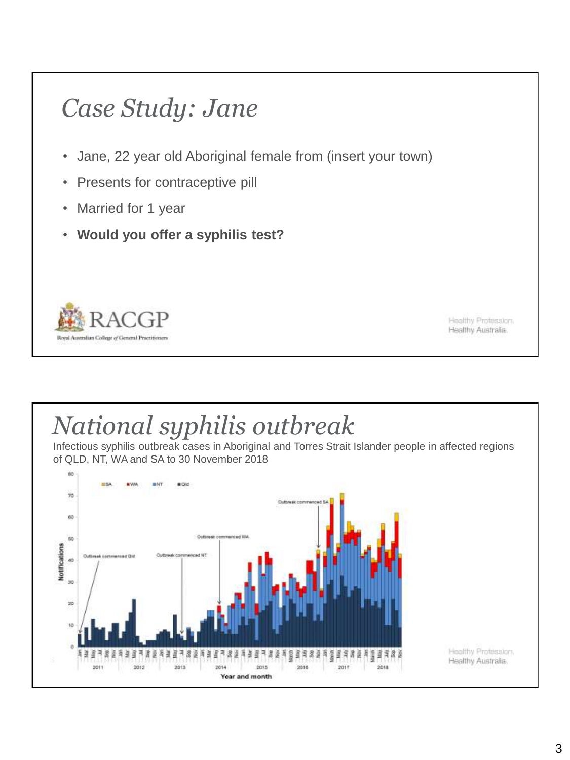- Jane, 22 year old Aboriginal female from (insert your town)
- Presents for contraceptive pill
- Married for 1 year
- **Would you offer a syphilis test?**



Healthy Profession. Healthy Australia.

# *National syphilis outbreak*

Infectious syphilis outbreak cases in Aboriginal and Torres Strait Islander people in affected regions of QLD, NT, WA and SA to 30 November 2018

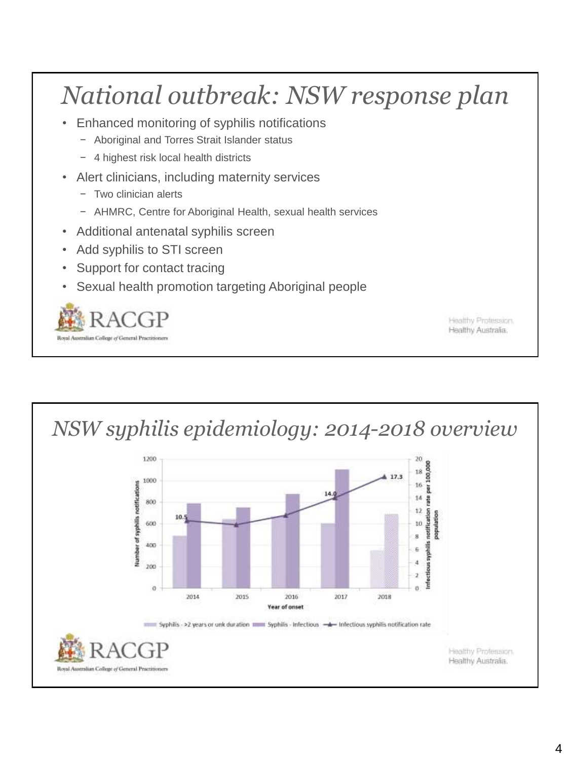# *National outbreak: NSW response plan*

- Enhanced monitoring of syphilis notifications
	- − Aboriginal and Torres Strait Islander status
	- − 4 highest risk local health districts
- Alert clinicians, including maternity services
	- − Two clinician alerts
	- − AHMRC, Centre for Aboriginal Health, sexual health services
- Additional antenatal syphilis screen
- Add syphilis to STI screen
- Support for contact tracing
- Sexual health promotion targeting Aboriginal people

Royal Australian College of General Practiti

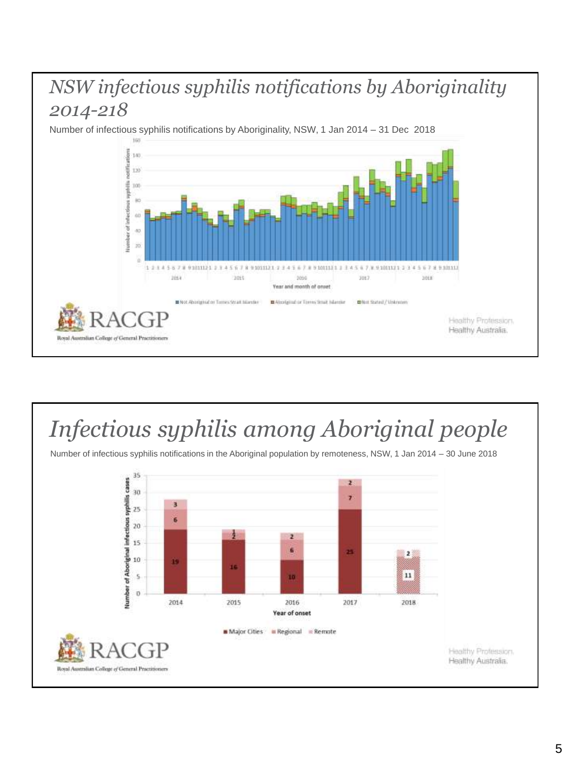### *NSW infectious syphilis notifications by Aboriginality 2014-218*

Number of infectious syphilis notifications by Aboriginality, NSW, 1 Jan 2014 – 31 Dec 2018



### *Infectious syphilis among Aboriginal people*



Number of infectious syphilis notifications in the Aboriginal population by remoteness, NSW, 1 Jan 2014 – 30 June 2018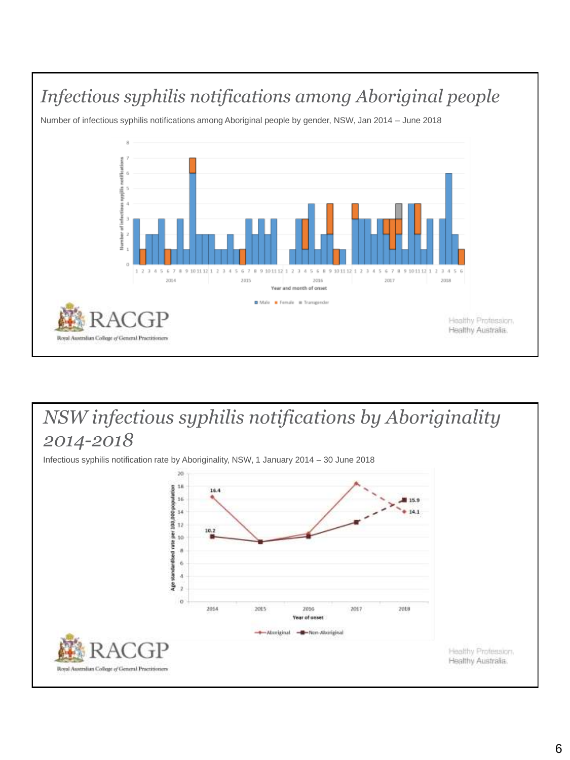

### *NSW infectious syphilis notifications by Aboriginality 2014-2018*

Infectious syphilis notification rate by Aboriginality, NSW, 1 January 2014 – 30 June 2018

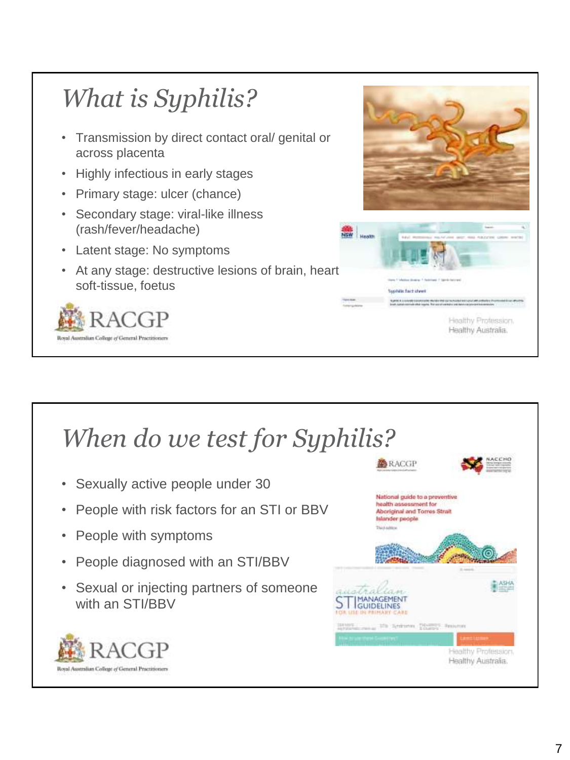

### *When do we test for Syphilis?*

- Sexually active people under 30
- People with risk factors for an STI or BBV
- People with symptoms
- People diagnosed with an STI/BBV
- Sexual or injecting partners of someone with an STI/BBV



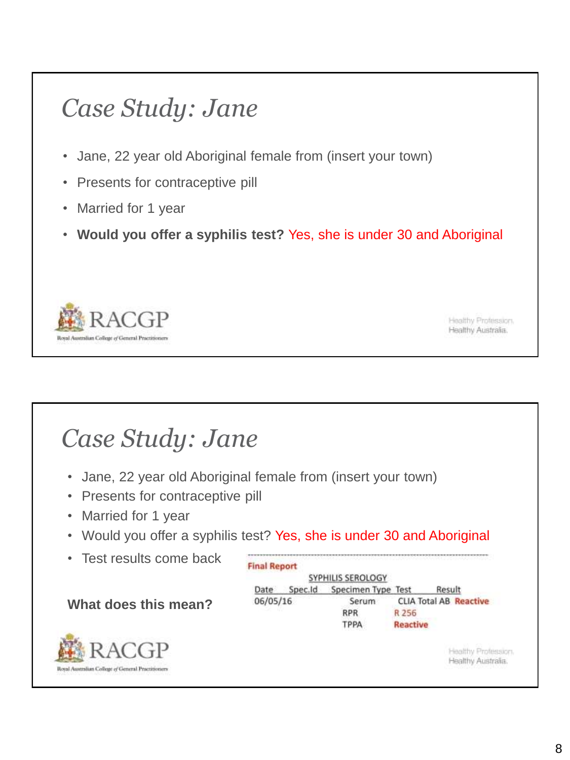- Jane, 22 year old Aboriginal female from (insert your town)
- Presents for contraceptive pill
- Married for 1 year
- **Would you offer a syphilis test?** Yes, she is under 30 and Aboriginal



Healthy Profession. Healthy Australia.

## *Case Study: Jane*

- Jane, 22 year old Aboriginal female from (insert your town)
- Presents for contraceptive pill
- Married for 1 year
- Would you offer a syphilis test? Yes, she is under 30 and Aboriginal
- Test results come back

#### **What does this mean?**



| SYPHILIS SEROLOGY |         |                    |          |                               |  |
|-------------------|---------|--------------------|----------|-------------------------------|--|
| Date              | Spec.Id | Specimen Type Test |          | Result                        |  |
| 06/05/16          |         | Serum              |          | <b>CLIA Total AB Reactive</b> |  |
|                   |         | <b>RPR</b>         | R 256    |                               |  |
|                   |         | ТРРА               | Reactive |                               |  |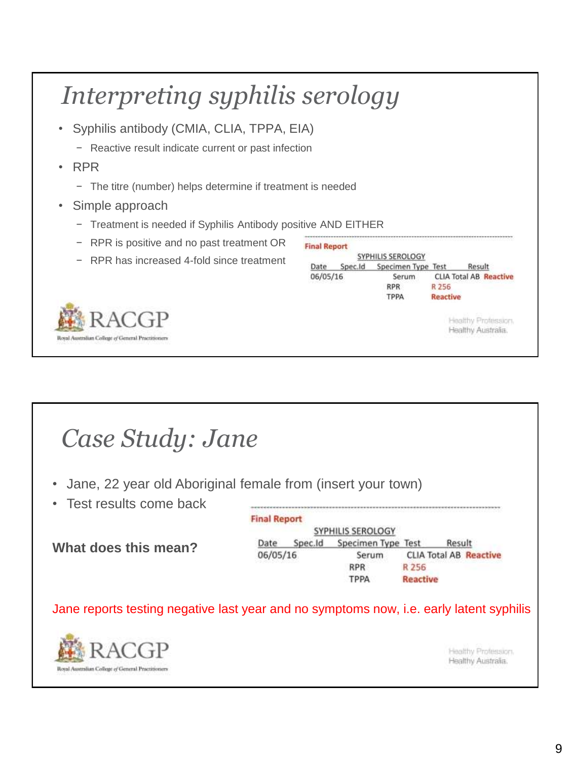| Syphilis antibody (CMIA, CLIA, TPPA, EIA)<br>$\bullet$       |                             |                                                                |                                                  |
|--------------------------------------------------------------|-----------------------------|----------------------------------------------------------------|--------------------------------------------------|
| Reactive result indicate current or past infection           |                             |                                                                |                                                  |
| <b>RPR</b><br>$\bullet$                                      |                             |                                                                |                                                  |
| The titre (number) helps determine if treatment is needed    |                             |                                                                |                                                  |
|                                                              |                             |                                                                |                                                  |
| Simple approach<br>$\bullet$                                 |                             |                                                                |                                                  |
| Treatment is needed if Syphilis Antibody positive AND EITHER |                             |                                                                |                                                  |
| RPR is positive and no past treatment OR                     | <b>Final Report</b>         |                                                                |                                                  |
| RPR has increased 4-fold since treatment                     | Spec.ld<br>Date<br>06/05/16 | SYPHILIS SEROLOGY<br>Specimen Type Test<br>Serum<br><b>RPR</b> | Result<br><b>CLIA Total AB Reactive</b><br>R 256 |

|  | Case Study: Jane |  |
|--|------------------|--|
|--|------------------|--|

- Jane, 22 year old Aboriginal female from (insert your town)
- Test results come back

**What does this mean?**

**Final Report** SYPHILIS SEROLOGY Date Spec.Id Specimen Type Test Result 06/05/16 Serum **CLIA Total AB Reactive RPR** R 256 TPPA **Reactive** 

Jane reports testing negative last year and no symptoms now, i.e. early latent syphilis

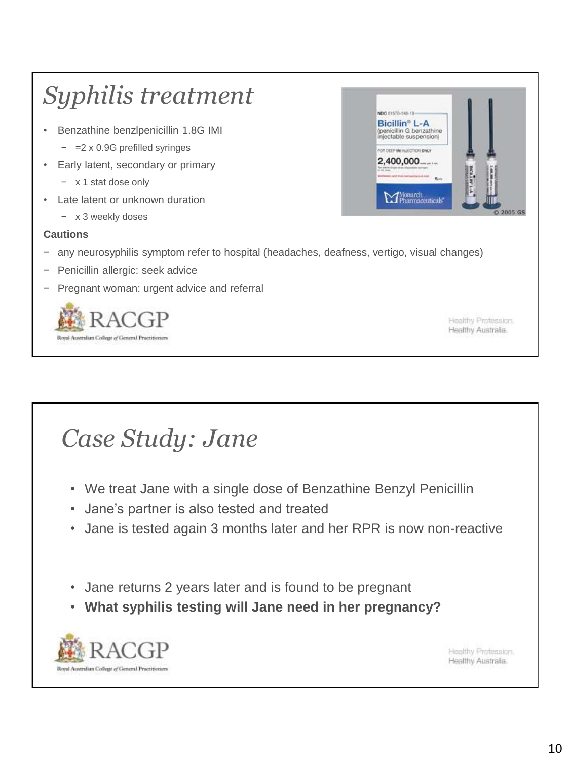

- We treat Jane with a single dose of Benzathine Benzyl Penicillin
- Jane's partner is also tested and treated
- Jane is tested again 3 months later and her RPR is now non-reactive
- Jane returns 2 years later and is found to be pregnant
- **What syphilis testing will Jane need in her pregnancy?**

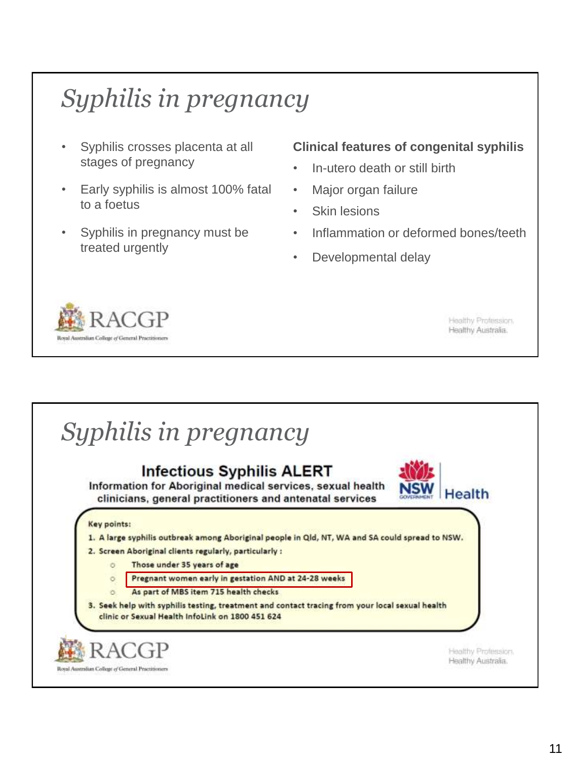# *Syphilis in pregnancy*

- Syphilis crosses placenta at all stages of pregnancy
- Early syphilis is almost 100% fatal to a foetus
- Syphilis in pregnancy must be treated urgently

#### **Clinical features of congenital syphilis**

- In-utero death or still birth
- Major organ failure
- Skin lesions
- Inflammation or deformed bones/teeth
- Developmental delay



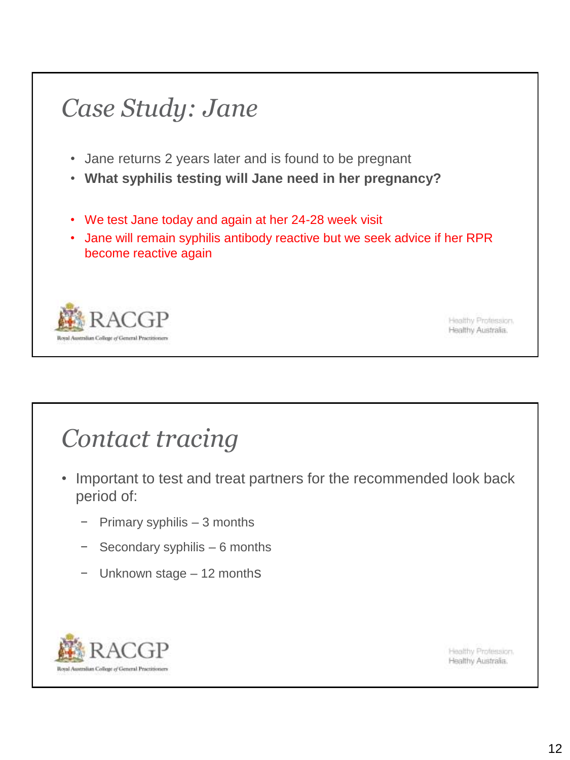- Jane returns 2 years later and is found to be pregnant
- **What syphilis testing will Jane need in her pregnancy?**
- We test Jane today and again at her 24-28 week visit
- Jane will remain syphilis antibody reactive but we seek advice if her RPR become reactive again



Healthy Profession. Healthy Australia.

## *Contact tracing*

- Important to test and treat partners for the recommended look back period of:
	- − Primary syphilis 3 months
	- − Secondary syphilis 6 months
	- − Unknown stage 12 months

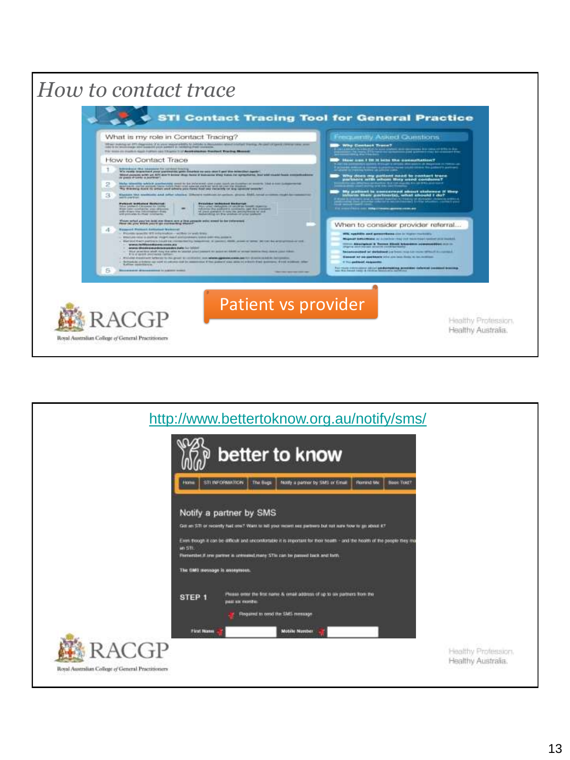

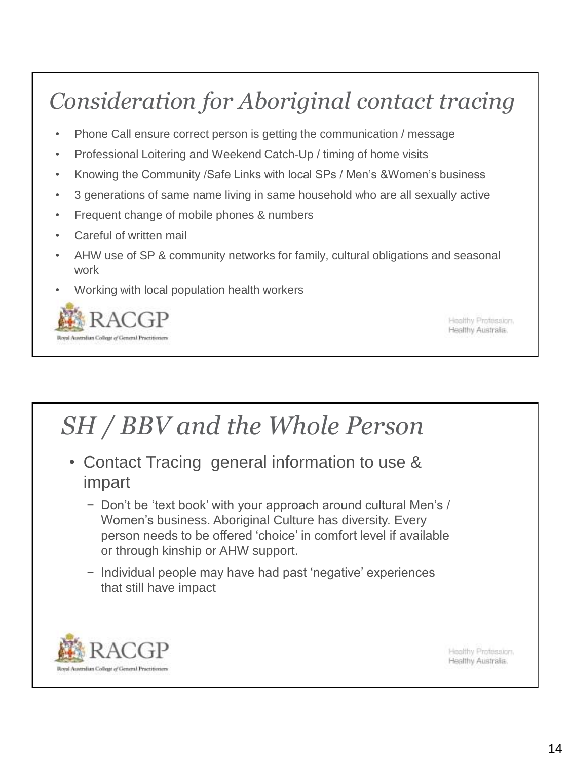## *Consideration for Aboriginal contact tracing*

- Phone Call ensure correct person is getting the communication / message
- Professional Loitering and Weekend Catch-Up / timing of home visits
- Knowing the Community /Safe Links with local SPs / Men's &Women's business
- 3 generations of same name living in same household who are all sexually active
- Frequent change of mobile phones & numbers
- Careful of written mail
- AHW use of SP & community networks for family, cultural obligations and seasonal work
- Working with local population health workers



Healthy Profession. Healthy Australia.

### *SH / BBV and the Whole Person*

- Contact Tracing general information to use & impart
	- − Don't be 'text book' with your approach around cultural Men's / Women's business. Aboriginal Culture has diversity. Every person needs to be offered 'choice' in comfort level if available or through kinship or AHW support.
	- − Individual people may have had past 'negative' experiences that still have impact

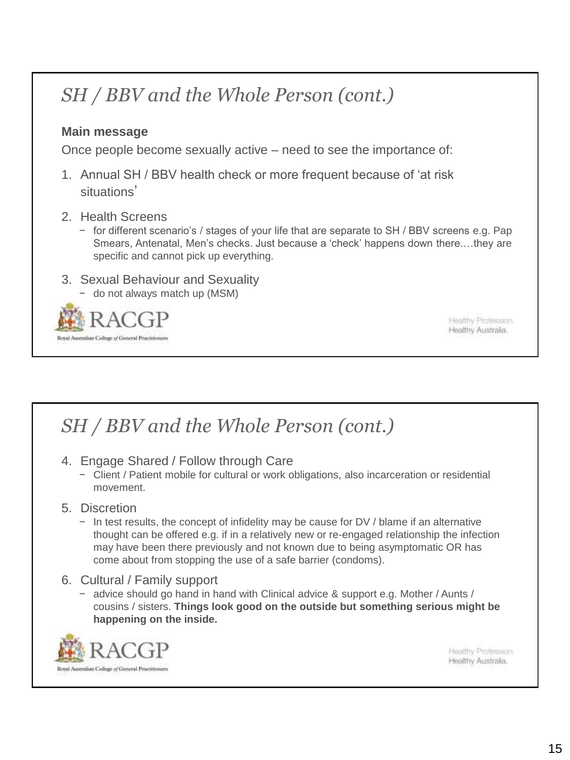### *SH / BBV and the Whole Person (cont.)*

#### **Main message**

Once people become sexually active – need to see the importance of:

- 1. Annual SH / BBV health check or more frequent because of 'at risk situations'
- 2. Health Screens
	- − for different scenario's / stages of your life that are separate to SH / BBV screens e.g. Pap Smears, Antenatal, Men's checks. Just because a 'check' happens down there.…they are specific and cannot pick up everything.
- 3. Sexual Behaviour and Sexuality
	- − do not always match up (MSM)



Healthy Profession. Healthy Australia.

### *SH / BBV and the Whole Person (cont.)*

- 4. Engage Shared / Follow through Care
	- − Client / Patient mobile for cultural or work obligations, also incarceration or residential movement.

#### 5. Discretion

- − In test results, the concept of infidelity may be cause for DV / blame if an alternative thought can be offered e.g. if in a relatively new or re-engaged relationship the infection may have been there previously and not known due to being asymptomatic OR has come about from stopping the use of a safe barrier (condoms).
- 6. Cultural / Family support
	- − advice should go hand in hand with Clinical advice & support e.g. Mother / Aunts / cousins / sisters. **Things look good on the outside but something serious might be happening on the inside.**